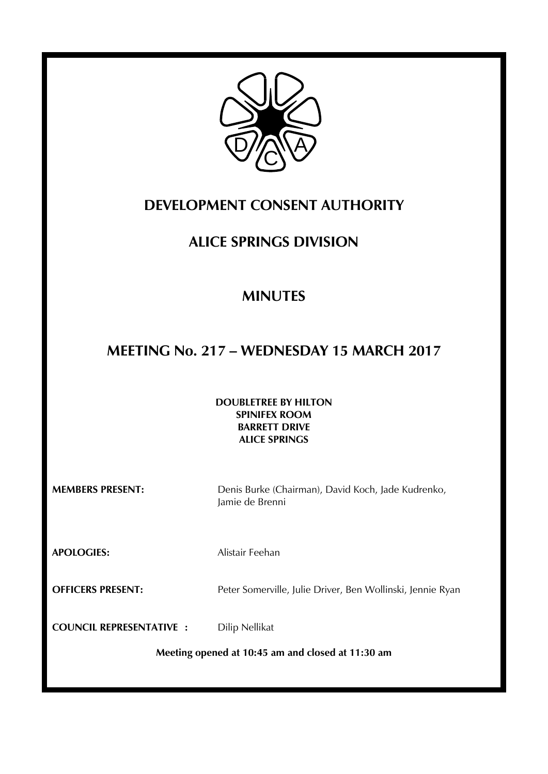

# **DEVELOPMENT CONSENT AUTHORITY**

# **ALICE SPRINGS DIVISION**

# **MINUTES**

# **MEETING No. 217 – WEDNESDAY 15 MARCH 2017**

### **DOUBLETREE BY HILTON SPINIFEX ROOM BARRETT DRIVE ALICE SPRINGS**

**MEMBERS PRESENT:** Denis Burke (Chairman), David Koch, Jade Kudrenko, Jamie de Brenni

**APOLOGIES:** Alistair Feehan

**OFFICERS PRESENT:** Peter Somerville, Julie Driver, Ben Wollinski, Jennie Ryan

**COUNCIL REPRESENTATIVE : Dilip Nellikat** 

**Meeting opened at 10:45 am and closed at 11:30 am**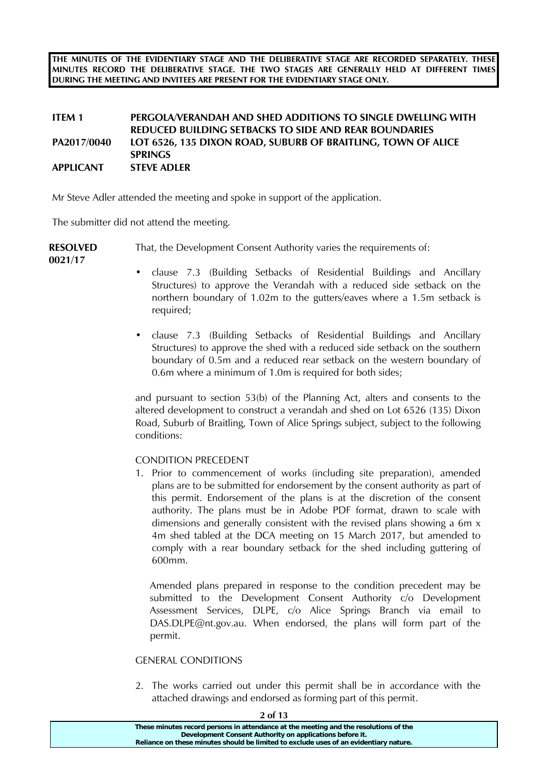**THE MINUTES OF THE EVIDENTIARY STAGE AND THE DELIBERATIVE STAGE ARE RECORDED SEPARATELY. THESE MINUTES RECORD THE DELIBERATIVE STAGE. THE TWO STAGES ARE GENERALLY HELD AT DIFFERENT TIMES DURING THE MEETING AND INVITEES ARE PRESENT FOR THE EVIDENTIARY STAGE ONLY.** 

### **ITEM 1 PERGOLA/VERANDAH AND SHED ADDITIONS TO SINGLE DWELLING WITH REDUCED BUILDING SETBACKS TO SIDE AND REAR BOUNDARIES PA2017/0040 LOT 6526, 135 DIXON ROAD, SUBURB OF BRAITLING, TOWN OF ALICE SPRINGS APPLICANT STEVE ADLER**

Mr Steve Adler attended the meeting and spoke in support of the application.

The submitter did not attend the meeting.

**RESOLVED**  That, the Development Consent Authority varies the requirements of:

**0021/17** 

- clause 7.3 (Building Setbacks of Residential Buildings and Ancillary Structures) to approve the Verandah with a reduced side setback on the northern boundary of 1.02m to the gutters/eaves where a 1.5m setback is required;
- clause 7.3 (Building Setbacks of Residential Buildings and Ancillary Structures) to approve the shed with a reduced side setback on the southern boundary of 0.5m and a reduced rear setback on the western boundary of 0.6m where a minimum of 1.0m is required for both sides;

and pursuant to section 53(b) of the Planning Act, alters and consents to the altered development to construct a verandah and shed on Lot 6526 (135) Dixon Road, Suburb of Braitling, Town of Alice Springs subject, subject to the following conditions:

## CONDITION PRECEDENT

1. Prior to commencement of works (including site preparation), amended plans are to be submitted for endorsement by the consent authority as part of this permit. Endorsement of the plans is at the discretion of the consent authority. The plans must be in Adobe PDF format, drawn to scale with dimensions and generally consistent with the revised plans showing a 6m x 4m shed tabled at the DCA meeting on 15 March 2017, but amended to comply with a rear boundary setback for the shed including guttering of 600mm.

Amended plans prepared in response to the condition precedent may be submitted to the Development Consent Authority c/o Development Assessment Services, DLPE, c/o Alice Springs Branch via email to DAS.DLPE@nt.gov.au. When endorsed, the plans will form part of the permit.

### GENERAL CONDITIONS

2. The works carried out under this permit shall be in accordance with the attached drawings and endorsed as forming part of this permit.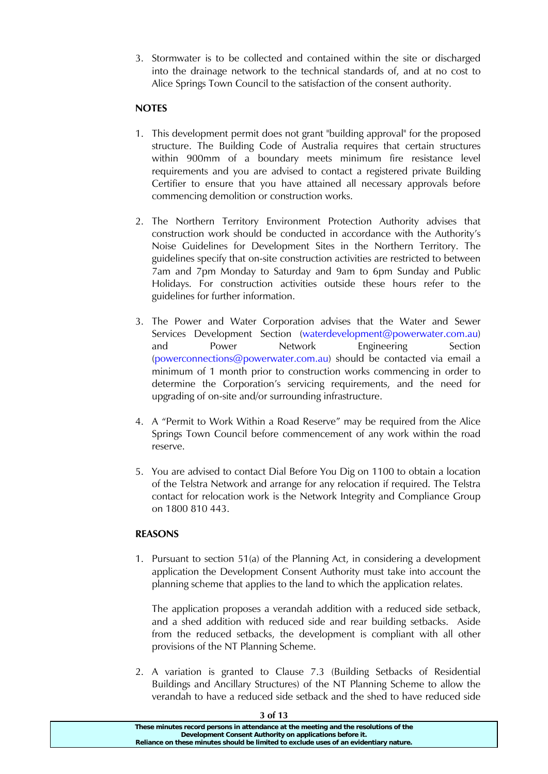3. Stormwater is to be collected and contained within the site or discharged into the drainage network to the technical standards of, and at no cost to Alice Springs Town Council to the satisfaction of the consent authority.

## **NOTES**

- 1. This development permit does not grant "building approval" for the proposed structure. The Building Code of Australia requires that certain structures within 900mm of a boundary meets minimum fire resistance level requirements and you are advised to contact a registered private Building Certifier to ensure that you have attained all necessary approvals before commencing demolition or construction works.
- 2. The Northern Territory Environment Protection Authority advises that construction work should be conducted in accordance with the Authority's Noise Guidelines for Development Sites in the Northern Territory. The guidelines specify that on-site construction activities are restricted to between 7am and 7pm Monday to Saturday and 9am to 6pm Sunday and Public Holidays. For construction activities outside these hours refer to the guidelines for further information.
- 3. The Power and Water Corporation advises that the Water and Sewer Services Development Section (waterdevelopment@powerwater.com.au) and Power Network Engineering Section (powerconnections@powerwater.com.au) should be contacted via email a minimum of 1 month prior to construction works commencing in order to determine the Corporation's servicing requirements, and the need for upgrading of on-site and/or surrounding infrastructure.
- 4. A "Permit to Work Within a Road Reserve" may be required from the Alice Springs Town Council before commencement of any work within the road reserve.
- 5. You are advised to contact Dial Before You Dig on 1100 to obtain a location of the Telstra Network and arrange for any relocation if required. The Telstra contact for relocation work is the Network Integrity and Compliance Group on 1800 810 443.

### **REASONS**

1. Pursuant to section 51(a) of the Planning Act, in considering a development application the Development Consent Authority must take into account the planning scheme that applies to the land to which the application relates.

The application proposes a verandah addition with a reduced side setback, and a shed addition with reduced side and rear building setbacks. Aside from the reduced setbacks, the development is compliant with all other provisions of the NT Planning Scheme.

2. A variation is granted to Clause 7.3 (Building Setbacks of Residential Buildings and Ancillary Structures) of the NT Planning Scheme to allow the verandah to have a reduced side setback and the shed to have reduced side

| JUI IJ                                                                                |  |
|---------------------------------------------------------------------------------------|--|
| These minutes record persons in attendance at the meeting and the resolutions of the  |  |
| Development Consent Authority on applications before it.                              |  |
| Reliance on these minutes should be limited to exclude uses of an evidentiary nature. |  |
|                                                                                       |  |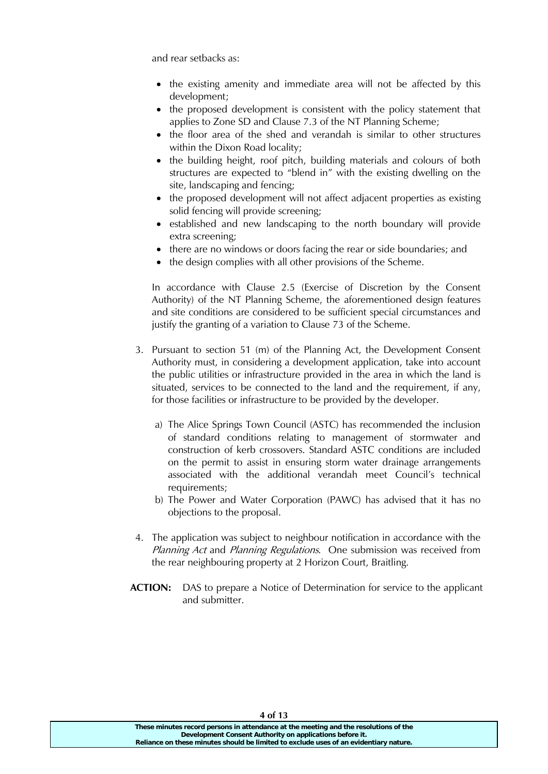and rear setbacks as:

- the existing amenity and immediate area will not be affected by this development;
- the proposed development is consistent with the policy statement that applies to Zone SD and Clause 7.3 of the NT Planning Scheme;
- the floor area of the shed and verandah is similar to other structures within the Dixon Road locality;
- the building height, roof pitch, building materials and colours of both structures are expected to "blend in" with the existing dwelling on the site, landscaping and fencing;
- the proposed development will not affect adjacent properties as existing solid fencing will provide screening;
- established and new landscaping to the north boundary will provide extra screening;
- there are no windows or doors facing the rear or side boundaries; and
- the design complies with all other provisions of the Scheme.

In accordance with Clause 2.5 (Exercise of Discretion by the Consent Authority) of the NT Planning Scheme, the aforementioned design features and site conditions are considered to be sufficient special circumstances and justify the granting of a variation to Clause 73 of the Scheme.

- 3. Pursuant to section 51 (m) of the Planning Act, the Development Consent Authority must, in considering a development application, take into account the public utilities or infrastructure provided in the area in which the land is situated, services to be connected to the land and the requirement, if any, for those facilities or infrastructure to be provided by the developer.
	- a) The Alice Springs Town Council (ASTC) has recommended the inclusion of standard conditions relating to management of stormwater and construction of kerb crossovers. Standard ASTC conditions are included on the permit to assist in ensuring storm water drainage arrangements associated with the additional verandah meet Council's technical requirements;
	- b) The Power and Water Corporation (PAWC) has advised that it has no objections to the proposal.
- 4. The application was subject to neighbour notification in accordance with the Planning Act and Planning Regulations. One submission was received from the rear neighbouring property at 2 Horizon Court, Braitling.
- **ACTION:** DAS to prepare a Notice of Determination for service to the applicant and submitter.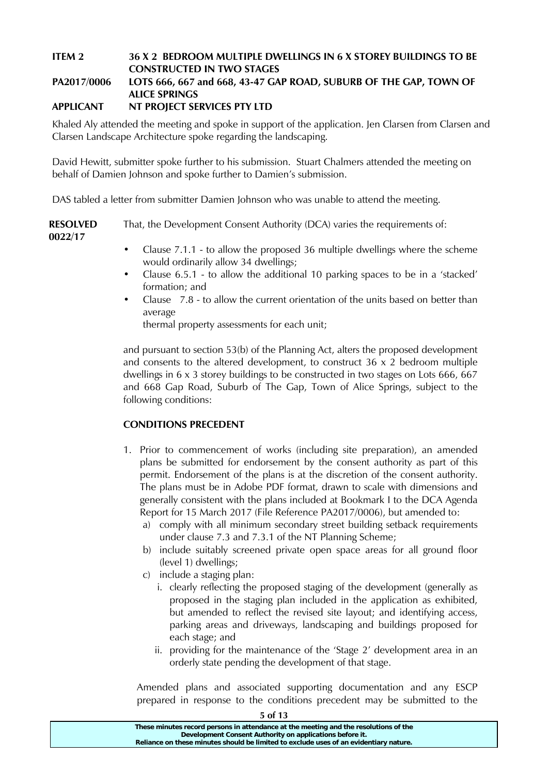## **ITEM 2 36 X 2 BEDROOM MULTIPLE DWELLINGS IN 6 X STOREY BUILDINGS TO BE CONSTRUCTED IN TWO STAGES**

## **PA2017/0006 LOTS 666, 667 and 668, 43-47 GAP ROAD, SUBURB OF THE GAP, TOWN OF ALICE SPRINGS**

## **APPLICANT NT PROJECT SERVICES PTY LTD**

Khaled Aly attended the meeting and spoke in support of the application. Jen Clarsen from Clarsen and Clarsen Landscape Architecture spoke regarding the landscaping.

David Hewitt, submitter spoke further to his submission. Stuart Chalmers attended the meeting on behalf of Damien Johnson and spoke further to Damien's submission.

DAS tabled a letter from submitter Damien Johnson who was unable to attend the meeting.

**RESOLVED 0022/17**  That, the Development Consent Authority (DCA) varies the requirements of:

- Clause 7.1.1 to allow the proposed 36 multiple dwellings where the scheme would ordinarily allow 34 dwellings;
- Clause 6.5.1 to allow the additional 10 parking spaces to be in a 'stacked' formation; and
- Clause 7.8 to allow the current orientation of the units based on better than average

thermal property assessments for each unit;

and pursuant to section 53(b) of the Planning Act, alters the proposed development and consents to the altered development, to construct 36 x 2 bedroom multiple dwellings in 6 x 3 storey buildings to be constructed in two stages on Lots 666, 667 and 668 Gap Road, Suburb of The Gap, Town of Alice Springs, subject to the following conditions:

## **CONDITIONS PRECEDENT**

- 1. Prior to commencement of works (including site preparation), an amended plans be submitted for endorsement by the consent authority as part of this permit. Endorsement of the plans is at the discretion of the consent authority. The plans must be in Adobe PDF format, drawn to scale with dimensions and generally consistent with the plans included at Bookmark I to the DCA Agenda Report for 15 March 2017 (File Reference PA2017/0006), but amended to:
	- a) comply with all minimum secondary street building setback requirements under clause 7.3 and 7.3.1 of the NT Planning Scheme;
	- b) include suitably screened private open space areas for all ground floor (level 1) dwellings;
	- c) include a staging plan:
		- i. clearly reflecting the proposed staging of the development (generally as proposed in the staging plan included in the application as exhibited, but amended to reflect the revised site layout; and identifying access, parking areas and driveways, landscaping and buildings proposed for each stage; and
		- ii. providing for the maintenance of the 'Stage 2' development area in an orderly state pending the development of that stage.

Amended plans and associated supporting documentation and any ESCP prepared in response to the conditions precedent may be submitted to the

| 5 of 13                                                                                                                                                                                                                                   |  |
|-------------------------------------------------------------------------------------------------------------------------------------------------------------------------------------------------------------------------------------------|--|
| These minutes record persons in attendance at the meeting and the resolutions of the<br>Development Consent Authority on applications before it.<br>Reliance on these minutes should be limited to exclude uses of an evidentiary nature. |  |
|                                                                                                                                                                                                                                           |  |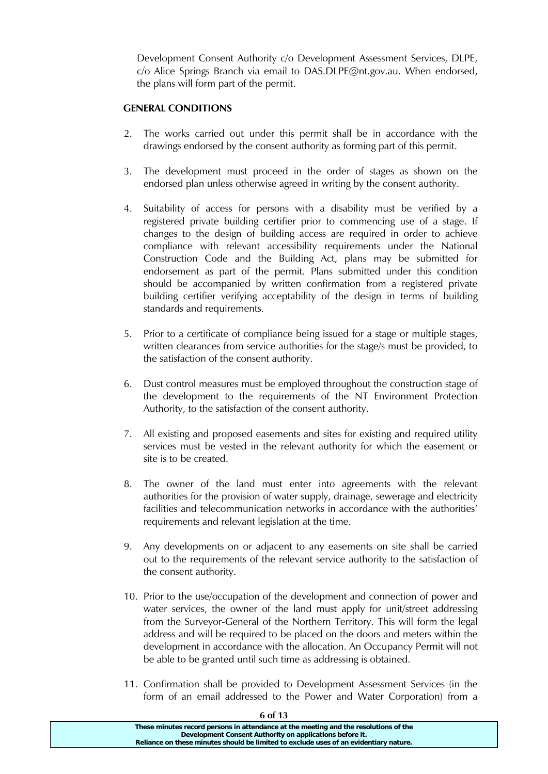Development Consent Authority c/o Development Assessment Services, DLPE, c/o Alice Springs Branch via email to DAS.DLPE@nt.gov.au. When endorsed, the plans will form part of the permit.

### **GENERAL CONDITIONS**

- 2. The works carried out under this permit shall be in accordance with the drawings endorsed by the consent authority as forming part of this permit.
- 3. The development must proceed in the order of stages as shown on the endorsed plan unless otherwise agreed in writing by the consent authority.
- 4. Suitability of access for persons with a disability must be verified by a registered private building certifier prior to commencing use of a stage. If changes to the design of building access are required in order to achieve compliance with relevant accessibility requirements under the National Construction Code and the Building Act, plans may be submitted for endorsement as part of the permit. Plans submitted under this condition should be accompanied by written confirmation from a registered private building certifier verifying acceptability of the design in terms of building standards and requirements.
- 5. Prior to a certificate of compliance being issued for a stage or multiple stages, written clearances from service authorities for the stage/s must be provided, to the satisfaction of the consent authority.
- 6. Dust control measures must be employed throughout the construction stage of the development to the requirements of the NT Environment Protection Authority, to the satisfaction of the consent authority.
- 7. All existing and proposed easements and sites for existing and required utility services must be vested in the relevant authority for which the easement or site is to be created.
- 8. The owner of the land must enter into agreements with the relevant authorities for the provision of water supply, drainage, sewerage and electricity facilities and telecommunication networks in accordance with the authorities' requirements and relevant legislation at the time.
- 9. Any developments on or adjacent to any easements on site shall be carried out to the requirements of the relevant service authority to the satisfaction of the consent authority.
- 10. Prior to the use/occupation of the development and connection of power and water services, the owner of the land must apply for unit/street addressing from the Surveyor-General of the Northern Territory. This will form the legal address and will be required to be placed on the doors and meters within the development in accordance with the allocation. An Occupancy Permit will not be able to be granted until such time as addressing is obtained.
- 11. Confirmation shall be provided to Development Assessment Services (in the form of an email addressed to the Power and Water Corporation) from a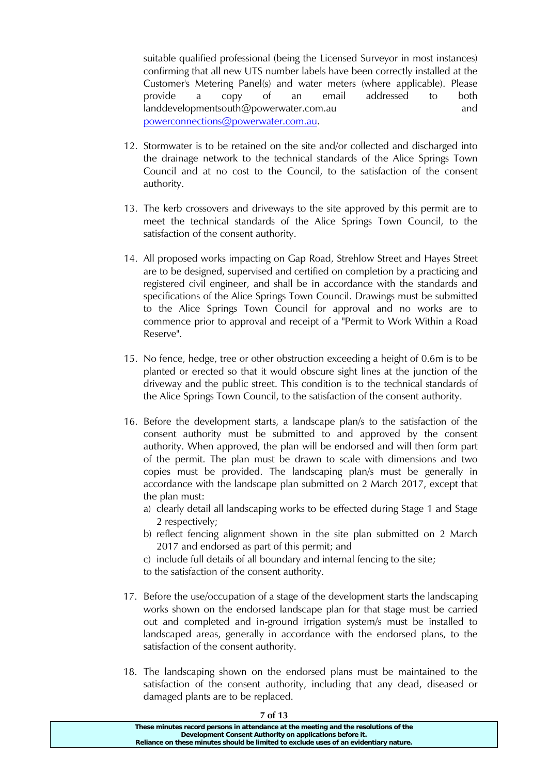suitable qualified professional (being the Licensed Surveyor in most instances) confirming that all new UTS number labels have been correctly installed at the Customer's Metering Panel(s) and water meters (where applicable). Please provide a copy of an email addressed to both landdevelopmentsouth@powerwater.com.au and powerconnections@powerwater.com.au.

- 12. Stormwater is to be retained on the site and/or collected and discharged into the drainage network to the technical standards of the Alice Springs Town Council and at no cost to the Council, to the satisfaction of the consent authority.
- 13. The kerb crossovers and driveways to the site approved by this permit are to meet the technical standards of the Alice Springs Town Council, to the satisfaction of the consent authority.
- 14. All proposed works impacting on Gap Road, Strehlow Street and Hayes Street are to be designed, supervised and certified on completion by a practicing and registered civil engineer, and shall be in accordance with the standards and specifications of the Alice Springs Town Council. Drawings must be submitted to the Alice Springs Town Council for approval and no works are to commence prior to approval and receipt of a "Permit to Work Within a Road Reserve".
- 15. No fence, hedge, tree or other obstruction exceeding a height of 0.6m is to be planted or erected so that it would obscure sight lines at the junction of the driveway and the public street. This condition is to the technical standards of the Alice Springs Town Council, to the satisfaction of the consent authority.
- 16. Before the development starts, a landscape plan/s to the satisfaction of the consent authority must be submitted to and approved by the consent authority. When approved, the plan will be endorsed and will then form part of the permit. The plan must be drawn to scale with dimensions and two copies must be provided. The landscaping plan/s must be generally in accordance with the landscape plan submitted on 2 March 2017, except that the plan must:
	- a) clearly detail all landscaping works to be effected during Stage 1 and Stage 2 respectively;
	- b) reflect fencing alignment shown in the site plan submitted on 2 March 2017 and endorsed as part of this permit; and
	- c) include full details of all boundary and internal fencing to the site;

to the satisfaction of the consent authority.

- 17. Before the use/occupation of a stage of the development starts the landscaping works shown on the endorsed landscape plan for that stage must be carried out and completed and in-ground irrigation system/s must be installed to landscaped areas, generally in accordance with the endorsed plans, to the satisfaction of the consent authority.
- 18. The landscaping shown on the endorsed plans must be maintained to the satisfaction of the consent authority, including that any dead, diseased or damaged plants are to be replaced.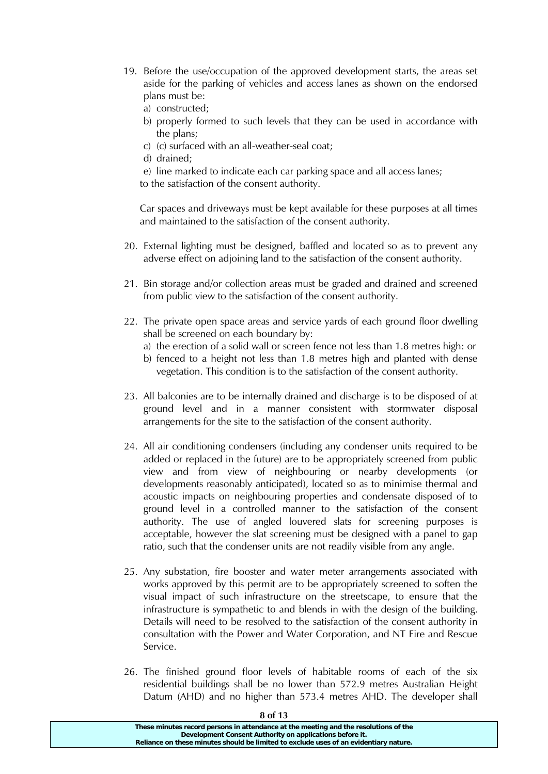- 19. Before the use/occupation of the approved development starts, the areas set aside for the parking of vehicles and access lanes as shown on the endorsed plans must be:
	- a) constructed;
	- b) properly formed to such levels that they can be used in accordance with the plans;
	- c) (c) surfaced with an all-weather-seal coat;
	- d) drained;
	- e) line marked to indicate each car parking space and all access lanes; to the satisfaction of the consent authority.

Car spaces and driveways must be kept available for these purposes at all times and maintained to the satisfaction of the consent authority.

- 20. External lighting must be designed, baffled and located so as to prevent any adverse effect on adjoining land to the satisfaction of the consent authority.
- 21. Bin storage and/or collection areas must be graded and drained and screened from public view to the satisfaction of the consent authority.
- 22. The private open space areas and service yards of each ground floor dwelling shall be screened on each boundary by:
	- a) the erection of a solid wall or screen fence not less than 1.8 metres high: or
	- b) fenced to a height not less than 1.8 metres high and planted with dense vegetation. This condition is to the satisfaction of the consent authority.
- 23. All balconies are to be internally drained and discharge is to be disposed of at ground level and in a manner consistent with stormwater disposal arrangements for the site to the satisfaction of the consent authority.
- 24. All air conditioning condensers (including any condenser units required to be added or replaced in the future) are to be appropriately screened from public view and from view of neighbouring or nearby developments (or developments reasonably anticipated), located so as to minimise thermal and acoustic impacts on neighbouring properties and condensate disposed of to ground level in a controlled manner to the satisfaction of the consent authority. The use of angled louvered slats for screening purposes is acceptable, however the slat screening must be designed with a panel to gap ratio, such that the condenser units are not readily visible from any angle.
- 25. Any substation, fire booster and water meter arrangements associated with works approved by this permit are to be appropriately screened to soften the visual impact of such infrastructure on the streetscape, to ensure that the infrastructure is sympathetic to and blends in with the design of the building. Details will need to be resolved to the satisfaction of the consent authority in consultation with the Power and Water Corporation, and NT Fire and Rescue Service.
- 26. The finished ground floor levels of habitable rooms of each of the six residential buildings shall be no lower than 572.9 metres Australian Height Datum (AHD) and no higher than 573.4 metres AHD. The developer shall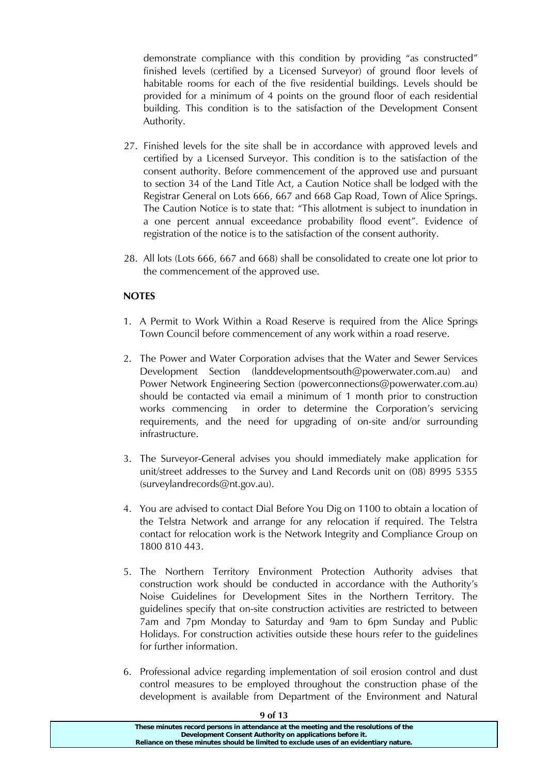demonstrate compliance with this condition by providing "as constructed" finished levels (certified by a Licensed Surveyor) of ground floor levels of habitable rooms for each of the five residential buildings. Levels should be provided for a minimum of 4 points on the ground floor of each residential building. This condition is to the satisfaction of the Development Consent Authority.

- 27. Finished levels for the site shall be in accordance with approved levels and certified by a Licensed Surveyor. This condition is to the satisfaction of the consent authority. Before commencement of the approved use and pursuant to section 34 of the Land Title Act, a Caution Notice shall be lodged with the Registrar General on Lots 666, 667 and 668 Gap Road, Town of Alice Springs. The Caution Notice is to state that: "This allotment is subject to inundation in a one percent annual exceedance probability flood event". Evidence of registration of the notice is to the satisfaction of the consent authority.
- 28. All lots (Lots 666, 667 and 668) shall be consolidated to create one lot prior to the commencement of the approved use.

### **NOTES**

- 1. A Permit to Work Within a Road Reserve is required from the Alice Springs Town Council before commencement of any work within a road reserve.
- 2. The Power and Water Corporation advises that the Water and Sewer Services Development Section (landdevelopmentsouth@powerwater.com.au) and Power Network Engineering Section (powerconnections@powerwater.com.au) should be contacted via email a minimum of 1 month prior to construction works commencing in order to determine the Corporation's servicing requirements, and the need for upgrading of on-site and/or surrounding infrastructure.
- 3. The Surveyor-General advises you should immediately make application for unit/street addresses to the Survey and Land Records unit on (08) 8995 5355 (surveylandrecords@nt.gov.au).
- 4. You are advised to contact Dial Before You Dig on 1100 to obtain a location of the Telstra Network and arrange for any relocation if required. The Telstra contact for relocation work is the Network Integrity and Compliance Group on 1800 810 443.
- 5. The Northern Territory Environment Protection Authority advises that construction work should be conducted in accordance with the Authority's Noise Guidelines for Development Sites in the Northern Territory. The guidelines specify that on-site construction activities are restricted to between 7am and 7pm Monday to Saturday and 9am to 6pm Sunday and Public Holidays. For construction activities outside these hours refer to the guidelines for further information.
- 6. Professional advice regarding implementation of soil erosion control and dust control measures to be employed throughout the construction phase of the development is available from Department of the Environment and Natural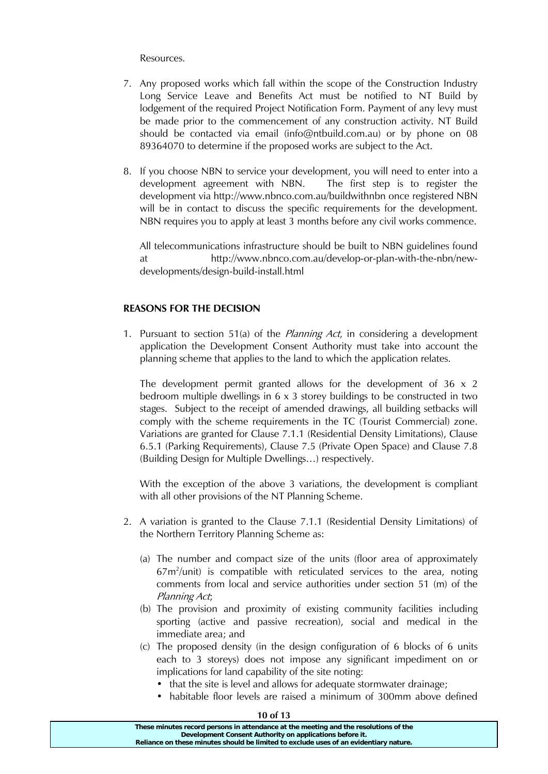Resources.

- 7. Any proposed works which fall within the scope of the Construction Industry Long Service Leave and Benefits Act must be notified to NT Build by lodgement of the required Project Notification Form. Payment of any levy must be made prior to the commencement of any construction activity. NT Build should be contacted via email (info@ntbuild.com.au) or by phone on 08 89364070 to determine if the proposed works are subject to the Act.
- 8. If you choose NBN to service your development, you will need to enter into a development agreement with NBN. The first step is to register the development via http://www.nbnco.com.au/buildwithnbn once registered NBN will be in contact to discuss the specific requirements for the development. NBN requires you to apply at least 3 months before any civil works commence.

All telecommunications infrastructure should be built to NBN guidelines found at http://www.nbnco.com.au/develop-or-plan-with-the-nbn/newdevelopments/design-build-install.html

### **REASONS FOR THE DECISION**

1. Pursuant to section 51(a) of the *Planning Act*, in considering a development application the Development Consent Authority must take into account the planning scheme that applies to the land to which the application relates.

The development permit granted allows for the development of 36 x 2 bedroom multiple dwellings in 6 x 3 storey buildings to be constructed in two stages. Subject to the receipt of amended drawings, all building setbacks will comply with the scheme requirements in the TC (Tourist Commercial) zone. Variations are granted for Clause 7.1.1 (Residential Density Limitations), Clause 6.5.1 (Parking Requirements), Clause 7.5 (Private Open Space) and Clause 7.8 (Building Design for Multiple Dwellings…) respectively.

With the exception of the above 3 variations, the development is compliant with all other provisions of the NT Planning Scheme.

- 2. A variation is granted to the Clause 7.1.1 (Residential Density Limitations) of the Northern Territory Planning Scheme as:
	- (a) The number and compact size of the units (floor area of approximately  $67m^2$ /unit) is compatible with reticulated services to the area, noting comments from local and service authorities under section 51 (m) of the Planning Act;
	- (b) The provision and proximity of existing community facilities including sporting (active and passive recreation), social and medical in the immediate area; and
	- (c) The proposed density (in the design configuration of 6 blocks of 6 units each to 3 storeys) does not impose any significant impediment on or implications for land capability of the site noting:
		- that the site is level and allows for adequate stormwater drainage;
		- habitable floor levels are raised a minimum of 300mm above defined

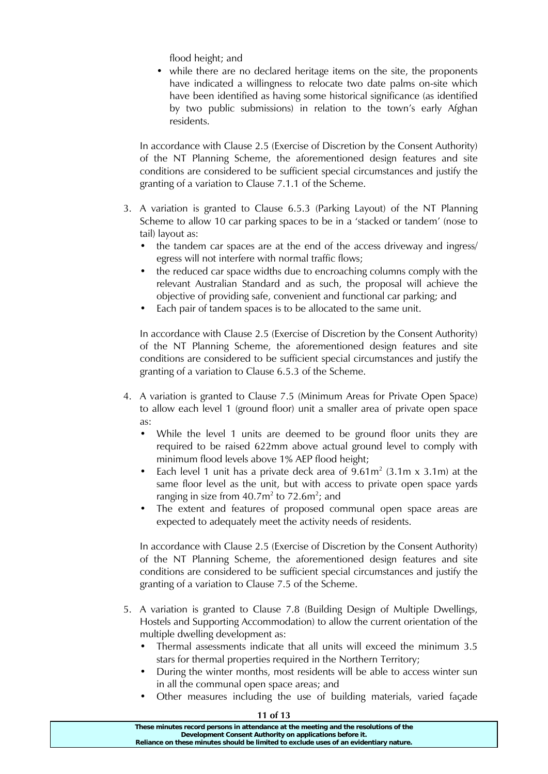flood height; and

• while there are no declared heritage items on the site, the proponents have indicated a willingness to relocate two date palms on-site which have been identified as having some historical significance (as identified by two public submissions) in relation to the town's early Afghan residents.

In accordance with Clause 2.5 (Exercise of Discretion by the Consent Authority) of the NT Planning Scheme, the aforementioned design features and site conditions are considered to be sufficient special circumstances and justify the granting of a variation to Clause 7.1.1 of the Scheme.

- 3. A variation is granted to Clause 6.5.3 (Parking Layout) of the NT Planning Scheme to allow 10 car parking spaces to be in a 'stacked or tandem' (nose to tail) layout as:
	- the tandem car spaces are at the end of the access driveway and ingress/ egress will not interfere with normal traffic flows;
	- the reduced car space widths due to encroaching columns comply with the relevant Australian Standard and as such, the proposal will achieve the objective of providing safe, convenient and functional car parking; and
	- Each pair of tandem spaces is to be allocated to the same unit.

In accordance with Clause 2.5 (Exercise of Discretion by the Consent Authority) of the NT Planning Scheme, the aforementioned design features and site conditions are considered to be sufficient special circumstances and justify the granting of a variation to Clause 6.5.3 of the Scheme.

- 4. A variation is granted to Clause 7.5 (Minimum Areas for Private Open Space) to allow each level 1 (ground floor) unit a smaller area of private open space as:
	- While the level 1 units are deemed to be ground floor units they are required to be raised 622mm above actual ground level to comply with minimum flood levels above 1% AEP flood height;
	- Each level 1 unit has a private deck area of  $9.61 \text{ m}^2$  (3.1m x 3.1m) at the same floor level as the unit, but with access to private open space yards ranging in size from  $40.7$ m<sup>2</sup> to 72.6m<sup>2</sup>; and
	- The extent and features of proposed communal open space areas are expected to adequately meet the activity needs of residents.

In accordance with Clause 2.5 (Exercise of Discretion by the Consent Authority) of the NT Planning Scheme, the aforementioned design features and site conditions are considered to be sufficient special circumstances and justify the granting of a variation to Clause 7.5 of the Scheme.

- 5. A variation is granted to Clause 7.8 (Building Design of Multiple Dwellings, Hostels and Supporting Accommodation) to allow the current orientation of the multiple dwelling development as:
	- Thermal assessments indicate that all units will exceed the minimum 3.5 stars for thermal properties required in the Northern Territory;
	- During the winter months, most residents will be able to access winter sun in all the communal open space areas; and
	- Other measures including the use of building materials, varied façade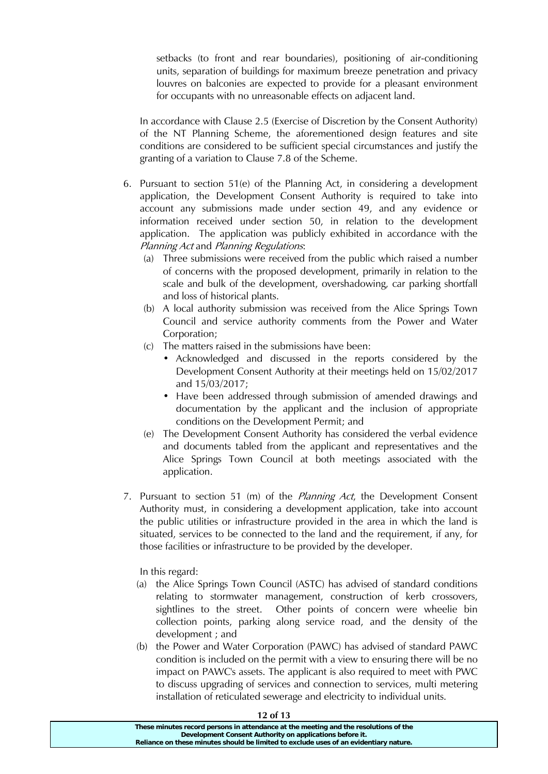setbacks (to front and rear boundaries), positioning of air-conditioning units, separation of buildings for maximum breeze penetration and privacy louvres on balconies are expected to provide for a pleasant environment for occupants with no unreasonable effects on adjacent land.

In accordance with Clause 2.5 (Exercise of Discretion by the Consent Authority) of the NT Planning Scheme, the aforementioned design features and site conditions are considered to be sufficient special circumstances and justify the granting of a variation to Clause 7.8 of the Scheme.

- 6. Pursuant to section 51(e) of the Planning Act, in considering a development application, the Development Consent Authority is required to take into account any submissions made under section 49, and any evidence or information received under section 50, in relation to the development application. The application was publicly exhibited in accordance with the Planning Act and Planning Regulations:
	- (a) Three submissions were received from the public which raised a number of concerns with the proposed development, primarily in relation to the scale and bulk of the development, overshadowing, car parking shortfall and loss of historical plants.
	- (b) A local authority submission was received from the Alice Springs Town Council and service authority comments from the Power and Water Corporation;
	- (c) The matters raised in the submissions have been:
		- Acknowledged and discussed in the reports considered by the Development Consent Authority at their meetings held on 15/02/2017 and 15/03/2017;
		- Have been addressed through submission of amended drawings and documentation by the applicant and the inclusion of appropriate conditions on the Development Permit; and
	- (e) The Development Consent Authority has considered the verbal evidence and documents tabled from the applicant and representatives and the Alice Springs Town Council at both meetings associated with the application.
- 7. Pursuant to section 51 (m) of the *Planning Act*, the Development Consent Authority must, in considering a development application, take into account the public utilities or infrastructure provided in the area in which the land is situated, services to be connected to the land and the requirement, if any, for those facilities or infrastructure to be provided by the developer.

In this regard:

- (a) the Alice Springs Town Council (ASTC) has advised of standard conditions relating to stormwater management, construction of kerb crossovers, sightlines to the street. Other points of concern were wheelie bin collection points, parking along service road, and the density of the development ; and
- (b) the Power and Water Corporation (PAWC) has advised of standard PAWC condition is included on the permit with a view to ensuring there will be no impact on PAWC's assets. The applicant is also required to meet with PWC to discuss upgrading of services and connection to services, multi metering installation of reticulated sewerage and electricity to individual units.